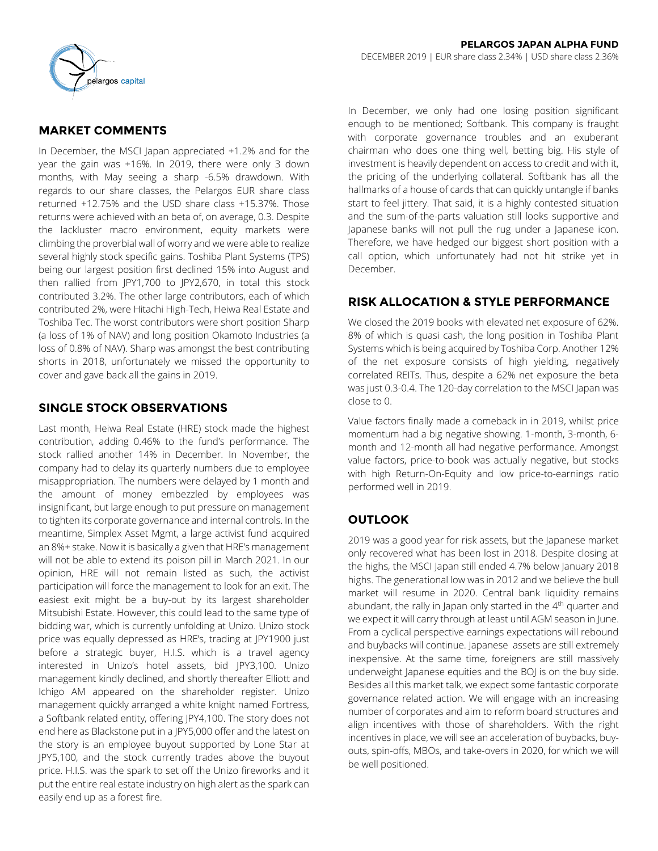

## **MARKET COMMENTS**

In December, the MSCI Japan appreciated +1.2% and for the year the gain was +16%. In 2019, there were only 3 down months, with May seeing a sharp -6.5% drawdown. With regards to our share classes, the Pelargos EUR share class returned +12.75% and the USD share class +15.37%. Those returns were achieved with an beta of, on average, 0.3. Despite the lackluster macro environment, equity markets were climbing the proverbial wall of worry and we were able to realize several highly stock specific gains. Toshiba Plant Systems (TPS) being our largest position first declined 15% into August and then rallied from JPY1,700 to JPY2,670, in total this stock contributed 3.2%. The other large contributors, each of which contributed 2%, were Hitachi High-Tech, Heiwa Real Estate and Toshiba Tec. The worst contributors were short position Sharp (a loss of 1% of NAV) and long position Okamoto Industries (a loss of 0.8% of NAV). Sharp was amongst the best contributing shorts in 2018, unfortunately we missed the opportunity to cover and gave back all the gains in 2019.

## **SINGLE STOCK OBSERVATIONS**

Last month, Heiwa Real Estate (HRE) stock made the highest contribution, adding 0.46% to the fund's performance. The stock rallied another 14% in December. In November, the company had to delay its quarterly numbers due to employee misappropriation. The numbers were delayed by 1 month and the amount of money embezzled by employees was insignificant, but large enough to put pressure on management to tighten its corporate governance and internal controls. In the meantime, Simplex Asset Mgmt, a large activist fund acquired an 8%+ stake. Now it is basically a given that HRE's management will not be able to extend its poison pill in March 2021. In our opinion, HRE will not remain listed as such, the activist participation will force the management to look for an exit. The easiest exit might be a buy-out by its largest shareholder Mitsubishi Estate. However, this could lead to the same type of bidding war, which is currently unfolding at Unizo. Unizo stock price was equally depressed as HRE's, trading at JPY1900 just before a strategic buyer, H.I.S. which is a travel agency interested in Unizo's hotel assets, bid JPY3,100. Unizo management kindly declined, and shortly thereafter Elliott and Ichigo AM appeared on the shareholder register. Unizo management quickly arranged a white knight named Fortress, a Softbank related entity, offering JPY4,100. The story does not end here as Blackstone put in a JPY5,000 offer and the latest on the story is an employee buyout supported by Lone Star at JPY5,100, and the stock currently trades above the buyout price. H.I.S. was the spark to set off the Unizo fireworks and it put the entire real estate industry on high alert as the spark can easily end up as a forest fire.

In December, we only had one losing position significant enough to be mentioned; Softbank. This company is fraught with corporate governance troubles and an exuberant chairman who does one thing well, betting big. His style of investment is heavily dependent on access to credit and with it, the pricing of the underlying collateral. Softbank has all the hallmarks of a house of cards that can quickly untangle if banks start to feel jittery. That said, it is a highly contested situation and the sum-of-the-parts valuation still looks supportive and Japanese banks will not pull the rug under a Japanese icon. Therefore, we have hedged our biggest short position with a call option, which unfortunately had not hit strike yet in December.

## **RISK ALLOCATION & STYLE PERFORMANCE**

We closed the 2019 books with elevated net exposure of 62%. 8% of which is quasi cash, the long position in Toshiba Plant Systems which is being acquired by Toshiba Corp. Another 12% of the net exposure consists of high yielding, negatively correlated REITs. Thus, despite a 62% net exposure the beta was just 0.3-0.4. The 120-day correlation to the MSCI Japan was close to 0.

Value factors finally made a comeback in in 2019, whilst price momentum had a big negative showing. 1-month, 3-month, 6 month and 12-month all had negative performance. Amongst value factors, price-to-book was actually negative, but stocks with high Return-On-Equity and low price-to-earnings ratio performed well in 2019.

# **OUTLOOK**

2019 was a good year for risk assets, but the Japanese market only recovered what has been lost in 2018. Despite closing at the highs, the MSCI Japan still ended 4.7% below January 2018 highs. The generational low was in 2012 and we believe the bull market will resume in 2020. Central bank liquidity remains abundant, the rally in Japan only started in the 4<sup>th</sup> quarter and we expect it will carry through at least until AGM season in June. From a cyclical perspective earnings expectations will rebound and buybacks will continue. Japanese assets are still extremely inexpensive. At the same time, foreigners are still massively underweight Japanese equities and the BOJ is on the buy side. Besides all this market talk, we expect some fantastic corporate governance related action. We will engage with an increasing number of corporates and aim to reform board structures and align incentives with those of shareholders. With the right incentives in place, we will see an acceleration of buybacks, buyouts, spin-offs, MBOs, and take-overs in 2020, for which we will be well positioned.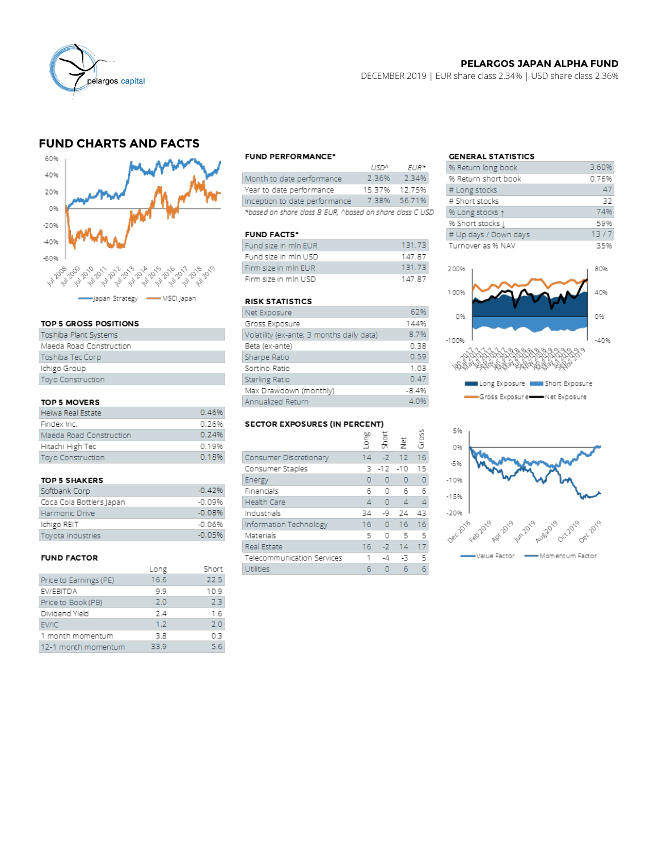

### **PELARGOS JAPAN ALPHA FUND**

DECEMBER 2019 | EUR share class 2.34% | USD share class 2.36%

## **FUND CHARTS AND FACTS**



#### TOP 5 GROSS POSITIONS

| Toshiba Plant Systems   |
|-------------------------|
| Maeda Road Construction |
| Toshiba Tec Corp        |
| Ichigo Group            |
| Toyo Construction       |
|                         |

### TOP 5 MOVERS

| Heiwa Real Estate        | 0.46% |
|--------------------------|-------|
| Findex Inc.              | 0.26% |
| Maeda Road Construction  | 0.24% |
| Hitachi High Tec         | 0.19% |
| <b>Toyo Construction</b> | 0.18% |

#### **TOP 5 SHAKERS**

| Softbank Corp            | $-0.42%$ |
|--------------------------|----------|
| Coca Cola Bottlers Japan | $-0.09%$ |
| Harmonic Drive           | $-0.08%$ |
| Ichigo REIT              | $-0.06%$ |
| Tovota Industries        | $-0.05%$ |

#### **FUND FACTOR**

|                        | Long | Short |
|------------------------|------|-------|
| Price to Earnings (PE) | 16.6 | 22.5  |
| EV/EBITDA              | 9.9  | 10.9  |
| Price to Book (PB)     | 2.0  | 23    |
| Dividend Yield         | 24   | 16    |
| EV/IC                  | 1.2  | 2.0   |
| 1 month momentum       | 3.8  | 0.3   |
| 12-1 month momentum    | 33.9 | 5.6   |
|                        |      |       |

#### **FUND PERFORMANCE\***

|                                                          | 115122        | $FIR*$       |  |
|----------------------------------------------------------|---------------|--------------|--|
| Month to date performance                                | 2.36%         | 2.34%        |  |
| Year to date performance                                 | 15 37% 17 75% |              |  |
| Inception to date performance                            |               | 7.38% 56.71% |  |
| *based on share class B EUR, ^based on share class C USD |               |              |  |

#### **FUND FACTS\***

| Fund size in mIn EUR | 131.73 |
|----------------------|--------|
| Fund size in mln USD | 14787  |
| Firm size in mln EUR | 131.73 |
| Firm size in mln USD | 14787  |

### **RISK STATISTICS**

| Net Exposure                              | 62%     |
|-------------------------------------------|---------|
| Gross Exposure                            | 144%    |
| Volatility (ex-ante; 3 months daily data) | 8.7%    |
| Beta (ex-ante)                            | 0.38    |
| Sharpe Ratio                              | 0.59    |
| Sortino Ratio                             | 1.03    |
| Sterling Ratio                            | 0.47    |
| Max Drawdown (monthly)                    | $-8.4%$ |
| Annualized Return                         | 4.0%    |

### **SECTOR EXPOSURES (IN PERCENT)**

| .<br>$5550$ $11111$ $111551$ |                |            |                |       |  |  |  |  |  |  |
|------------------------------|----------------|------------|----------------|-------|--|--|--|--|--|--|
|                              | Puol           | 동          | 흋              | Gross |  |  |  |  |  |  |
| Consumer Discretionary       | 14             |            | $-2$ 12        | 16    |  |  |  |  |  |  |
| Consumer Staples             | ₹              | $-12 - 10$ |                | 15    |  |  |  |  |  |  |
| Energy                       | o              | $\Omega$   | $\Omega$       | 0     |  |  |  |  |  |  |
| Financials                   | 6              | 0          | 6              | 6     |  |  |  |  |  |  |
| <b>Health Care</b>           | $\overline{4}$ | 0          | $\overline{4}$ | 4     |  |  |  |  |  |  |
| Industrials                  | 34             | -9         | 24             | 43    |  |  |  |  |  |  |
| Information Technology       | 16             | $\circ$    | 16             | 16    |  |  |  |  |  |  |
| Materials                    | 5              | O          | -5             | 5     |  |  |  |  |  |  |
| Real Estate                  | 16             | $-2$       | 14             | 17    |  |  |  |  |  |  |
| Telecommunication Services   | 1              | -4         | -3             | 5     |  |  |  |  |  |  |
| Utilities                    |                |            | 6              | 6     |  |  |  |  |  |  |

## **GENERAL STATISTICS**

| % Return long book     | 3.60% |
|------------------------|-------|
| % Return short book    | 0.76% |
| # Long stocks          | 47    |
| # Short stocks         | 32    |
| % Long stocks 1        | 74%   |
| % Short stocks $\perp$ | 59%   |
| # Up days / Down days  | 13/7  |
| Turnover as % NAV      | 35%   |
|                        |       |